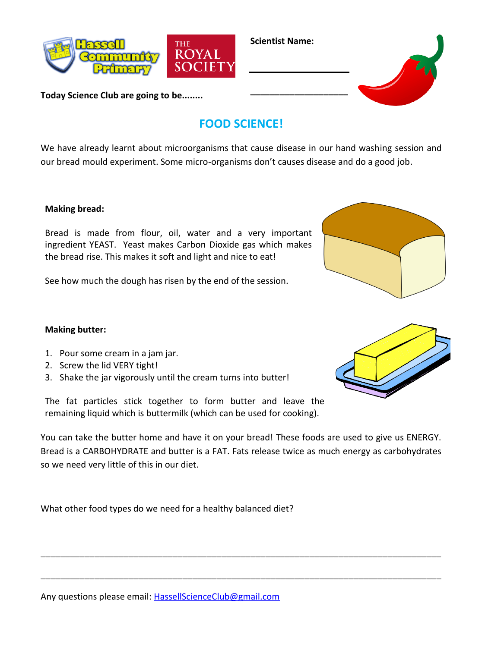

**Today Science Club are going to be........**

## **FOOD SCIENCE!**

**Scientist Name:**

We have already learnt about microorganisms that cause disease in our hand washing session and our bread mould experiment. Some micro-organisms don't causes disease and do a good job.

## **Making bread:**

Bread is made from flour, oil, water and a very important ingredient YEAST. Yeast makes Carbon Dioxide gas which makes the bread rise. This makes it soft and light and nice to eat!

See how much the dough has risen by the end of the session.

## **Making butter:**

- 1. Pour some cream in a jam jar.
- 2. Screw the lid VERY tight!
- 3. Shake the jar vigorously until the cream turns into butter!

The fat particles stick together to form butter and leave the remaining liquid which is buttermilk (which can be used for cooking).

You can take the butter home and have it on your bread! These foods are used to give us ENERGY. Bread is a CARBOHYDRATE and butter is a FAT. Fats release twice as much energy as carbohydrates so we need very little of this in our diet.

\_\_\_\_\_\_\_\_\_\_\_\_\_\_\_\_\_\_\_\_\_\_\_\_\_\_\_\_\_\_\_\_\_\_\_\_\_\_\_\_\_\_\_\_\_\_\_\_\_\_\_\_\_\_\_\_\_\_\_\_\_\_\_\_\_\_\_\_\_\_\_\_\_\_\_\_\_\_\_\_\_\_

\_\_\_\_\_\_\_\_\_\_\_\_\_\_\_\_\_\_\_\_\_\_\_\_\_\_\_\_\_\_\_\_\_\_\_\_\_\_\_\_\_\_\_\_\_\_\_\_\_\_\_\_\_\_\_\_\_\_\_\_\_\_\_\_\_\_\_\_\_\_\_\_\_\_\_\_\_\_\_\_\_\_

What other food types do we need for a healthy balanced diet?







Any questions please email: [HassellScienceClub@gmail.com](mailto:HassellScienceClub@gmail.com)